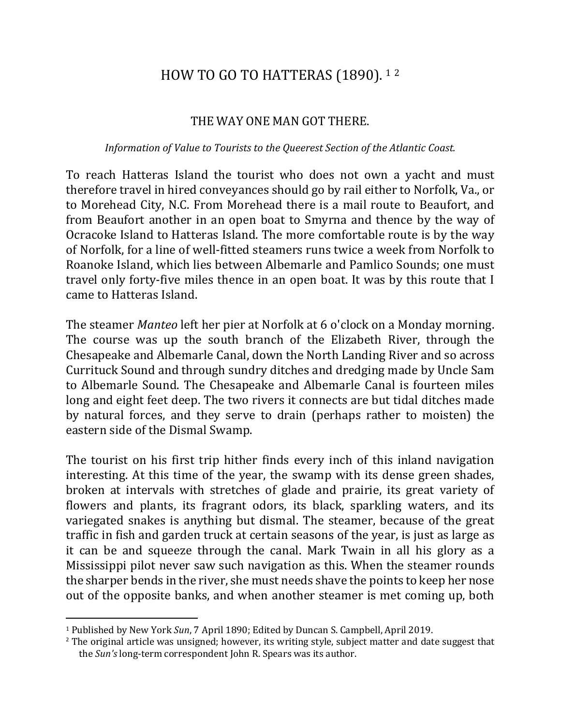## HOW TO GO TO HATTERAS (1890). 12

## THE WAY ONE MAN GOT THERE.

## *Information of Value to Tourists to the Queerest Section of the Atlantic Coast.*

To reach Hatteras Island the tourist who does not own a yacht and must therefore travel in hired conveyances should go by rail either to Norfolk, Va., or to Morehead City, N.C. From Morehead there is a mail route to Beaufort, and from Beaufort another in an open boat to Smyrna and thence by the way of Ocracoke Island to Hatteras Island. The more comfortable route is by the way of Norfolk, for a line of well-fitted steamers runs twice a week from Norfolk to Roanoke Island, which lies between Albemarle and Pamlico Sounds; one must travel only forty-five miles thence in an open boat. It was by this route that I came to Hatteras Island.

The steamer *Manteo* left her pier at Norfolk at 6 o'clock on a Monday morning. The course was up the south branch of the Elizabeth River, through the Chesapeake and Albemarle Canal, down the North Landing River and so across Currituck Sound and through sundry ditches and dredging made by Uncle Sam to Albemarle Sound. The Chesapeake and Albemarle Canal is fourteen miles long and eight feet deep. The two rivers it connects are but tidal ditches made by natural forces, and they serve to drain (perhaps rather to moisten) the eastern side of the Dismal Swamp.

The tourist on his first trip hither finds every inch of this inland navigation interesting. At this time of the year, the swamp with its dense green shades, broken at intervals with stretches of glade and prairie, its great variety of flowers and plants, its fragrant odors, its black, sparkling waters, and its variegated snakes is anything but dismal. The steamer, because of the great traffic in fish and garden truck at certain seasons of the year, is just as large as it can be and squeeze through the canal. Mark Twain in all his glory as a Mississippi pilot never saw such navigation as this. When the steamer rounds the sharper bends in the river, she must needs shave the points to keep her nose out of the opposite banks, and when another steamer is met coming up, both

 $\overline{a}$ 

<sup>&</sup>lt;sup>1</sup> Published by New York *Sun*, 7 April 1890; Edited by Duncan S. Campbell, April 2019.

<sup>&</sup>lt;sup>2</sup> The original article was unsigned; however, its writing style, subject matter and date suggest that the *Sun's* long-term correspondent John R. Spears was its author.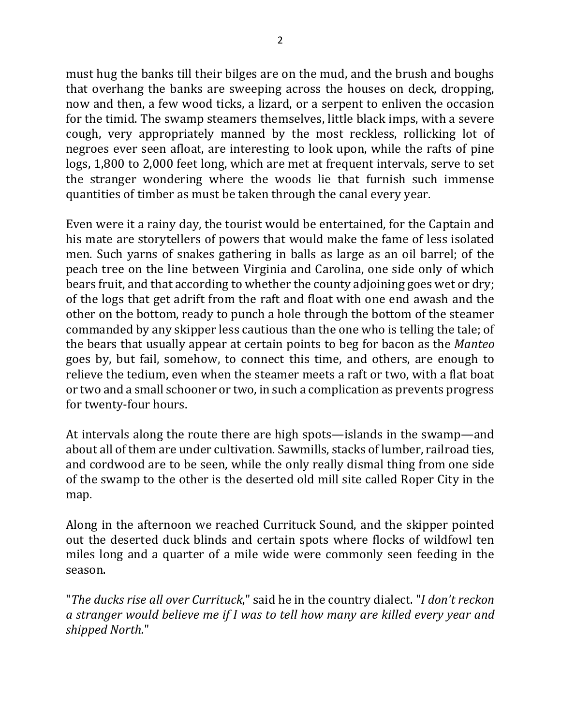must hug the banks till their bilges are on the mud, and the brush and boughs that overhang the banks are sweeping across the houses on deck, dropping, now and then, a few wood ticks, a lizard, or a serpent to enliven the occasion for the timid. The swamp steamers themselves, little black imps, with a severe cough, very appropriately manned by the most reckless, rollicking lot of negroes ever seen afloat, are interesting to look upon, while the rafts of pine logs, 1,800 to 2,000 feet long, which are met at frequent intervals, serve to set the stranger wondering where the woods lie that furnish such immense quantities of timber as must be taken through the canal every year.

Even were it a rainy day, the tourist would be entertained, for the Captain and his mate are storytellers of powers that would make the fame of less isolated men. Such yarns of snakes gathering in balls as large as an oil barrel; of the peach tree on the line between Virginia and Carolina, one side only of which bears fruit, and that according to whether the county adjoining goes wet or dry; of the logs that get adrift from the raft and float with one end awash and the other on the bottom, ready to punch a hole through the bottom of the steamer commanded by any skipper less cautious than the one who is telling the tale; of the bears that usually appear at certain points to beg for bacon as the *Manteo* goes by, but fail, somehow, to connect this time, and others, are enough to relieve the tedium, even when the steamer meets a raft or two, with a flat boat or two and a small schooner or two, in such a complication as prevents progress for twenty-four hours.

At intervals along the route there are high spots—islands in the swamp—and about all of them are under cultivation. Sawmills, stacks of lumber, railroad ties, and cordwood are to be seen, while the only really dismal thing from one side of the swamp to the other is the deserted old mill site called Roper City in the map.

Along in the afternoon we reached Currituck Sound, and the skipper pointed out the deserted duck blinds and certain spots where flocks of wildfowl ten miles long and a quarter of a mile wide were commonly seen feeding in the season.

"The ducks rise all over Currituck," said he in the country dialect. "I don't reckon *a* stranger would believe me if I was to tell how many are killed every year and *shipped North.*"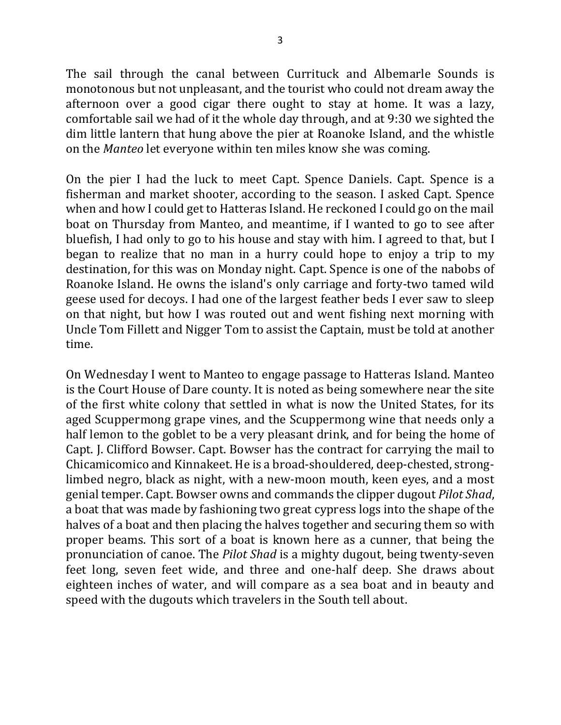The sail through the canal between Currituck and Albemarle Sounds is monotonous but not unpleasant, and the tourist who could not dream away the afternoon over a good cigar there ought to stay at home. It was a lazy, comfortable sail we had of it the whole day through, and at 9:30 we sighted the dim little lantern that hung above the pier at Roanoke Island, and the whistle on the *Manteo* let everyone within ten miles know she was coming.

On the pier I had the luck to meet Capt. Spence Daniels. Capt. Spence is a fisherman and market shooter, according to the season. I asked Capt. Spence when and how I could get to Hatteras Island. He reckoned I could go on the mail boat on Thursday from Manteo, and meantime, if I wanted to go to see after bluefish, I had only to go to his house and stay with him. I agreed to that, but I began to realize that no man in a hurry could hope to enjoy a trip to my destination, for this was on Monday night. Capt. Spence is one of the nabobs of Roanoke Island. He owns the island's only carriage and forty-two tamed wild geese used for decoys. I had one of the largest feather beds I ever saw to sleep on that night, but how I was routed out and went fishing next morning with Uncle Tom Fillett and Nigger Tom to assist the Captain, must be told at another time.

On Wednesday I went to Manteo to engage passage to Hatteras Island. Manteo is the Court House of Dare county. It is noted as being somewhere near the site of the first white colony that settled in what is now the United States, for its aged Scuppermong grape vines, and the Scuppermong wine that needs only a half lemon to the goblet to be a very pleasant drink, and for being the home of Capt. J. Clifford Bowser. Capt. Bowser has the contract for carrying the mail to Chicamicomico and Kinnakeet. He is a broad-shouldered, deep-chested, stronglimbed negro, black as night, with a new-moon mouth, keen eyes, and a most genial temper. Capt. Bowser owns and commands the clipper dugout *Pilot Shad*, a boat that was made by fashioning two great cypress logs into the shape of the halves of a boat and then placing the halves together and securing them so with proper beams. This sort of a boat is known here as a cunner, that being the pronunciation of canoe. The *Pilot Shad* is a mighty dugout, being twenty-seven feet long, seven feet wide, and three and one-half deep. She draws about eighteen inches of water, and will compare as a sea boat and in beauty and speed with the dugouts which travelers in the South tell about.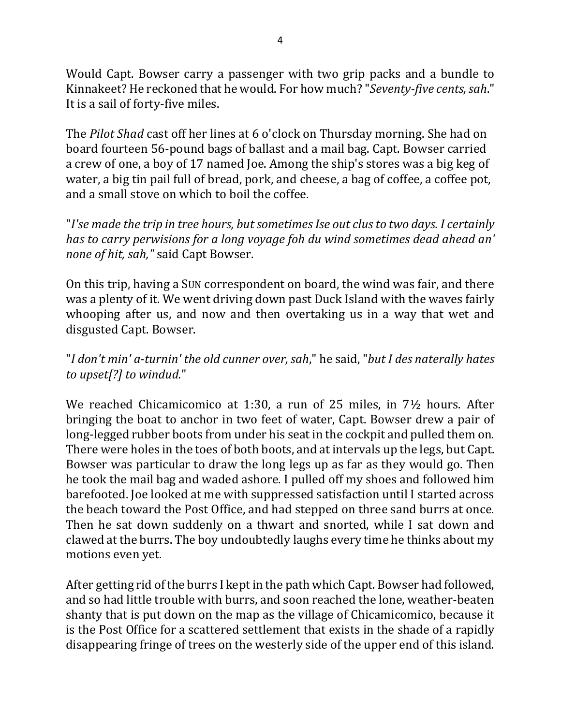Would Capt. Bowser carry a passenger with two grip packs and a bundle to Kinnakeet? He reckoned that he would. For how much? "Seventy-five cents, sah." It is a sail of forty-five miles.

The *Pilot Shad* cast off her lines at 6 o'clock on Thursday morning. She had on board fourteen 56-pound bags of ballast and a mail bag. Capt. Bowser carried a crew of one, a boy of 17 named Joe. Among the ship's stores was a big keg of water, a big tin pail full of bread, pork, and cheese, a bag of coffee, a coffee pot, and a small stove on which to boil the coffee.

"I'se made the trip in tree hours, but sometimes Ise out clus to two days. I certainly *has* to carry perwisions for a long voyage foh du wind sometimes dead ahead an' *none of hit, sah,"* said Capt Bowser.

On this trip, having a Sun correspondent on board, the wind was fair, and there was a plenty of it. We went driving down past Duck Island with the waves fairly whooping after us, and now and then overtaking us in a way that wet and disgusted Capt. Bowser.

## "*I don't min' a-turnin' the old cunner over, sah*," he said, "*but I des naterally hates*  to upset[?] to windud."

We reached Chicamicomico at 1:30, a run of 25 miles, in  $7\frac{1}{2}$  hours. After bringing the boat to anchor in two feet of water, Capt. Bowser drew a pair of long-legged rubber boots from under his seat in the cockpit and pulled them on. There were holes in the toes of both boots, and at intervals up the legs, but Capt. Bowser was particular to draw the long legs up as far as they would go. Then he took the mail bag and waded ashore. I pulled off my shoes and followed him barefooted. Joe looked at me with suppressed satisfaction until I started across the beach toward the Post Office, and had stepped on three sand burrs at once. Then he sat down suddenly on a thwart and snorted, while I sat down and clawed at the burrs. The boy undoubtedly laughs every time he thinks about my motions even yet.

After getting rid of the burrs I kept in the path which Capt. Bowser had followed, and so had little trouble with burrs, and soon reached the lone, weather-beaten shanty that is put down on the map as the village of Chicamicomico, because it is the Post Office for a scattered settlement that exists in the shade of a rapidly disappearing fringe of trees on the westerly side of the upper end of this island.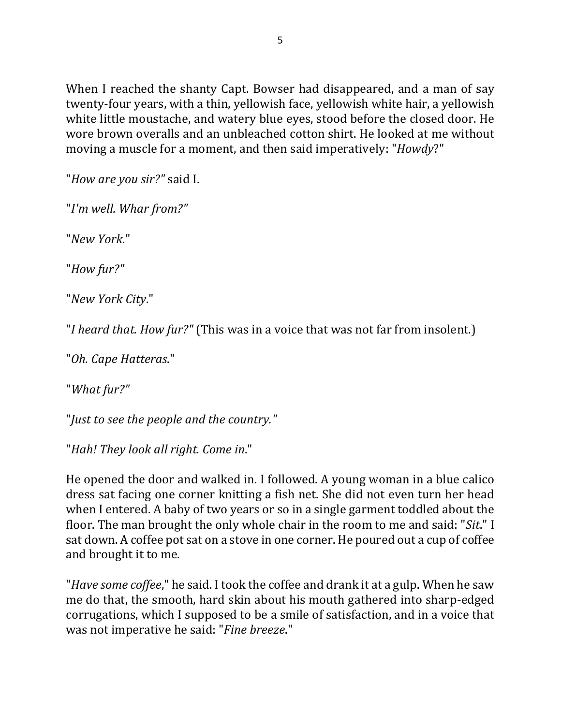When I reached the shanty Capt. Bowser had disappeared, and a man of say twenty-four years, with a thin, yellowish face, yellowish white hair, a yellowish white little moustache, and watery blue eyes, stood before the closed door. He wore brown overalls and an unbleached cotton shirt. He looked at me without moving a muscle for a moment, and then said imperatively: "*Howdy*?"

"*How are you sir?"* said I.

"*I'm well. Whar from?"*

"*New York*."

"*How fur?"*

"*New York City*."

"*I* heard that. How fur?" (This was in a voice that was not far from insolent.)

"*Oh. Cape Hatteras*."

"*What fur?"*

"*Just to see the people and the country.*"

"Hah! They look all right. Come in."

He opened the door and walked in. I followed. A young woman in a blue calico dress sat facing one corner knitting a fish net. She did not even turn her head when I entered. A baby of two years or so in a single garment toddled about the floor. The man brought the only whole chair in the room to me and said: "*Sit*." I sat down. A coffee pot sat on a stove in one corner. He poured out a cup of coffee and brought it to me.

"*Have some coffee*," he said. I took the coffee and drank it at a gulp. When he saw me do that, the smooth, hard skin about his mouth gathered into sharp-edged corrugations, which I supposed to be a smile of satisfaction, and in a voice that was not imperative he said: "*Fine breeze*."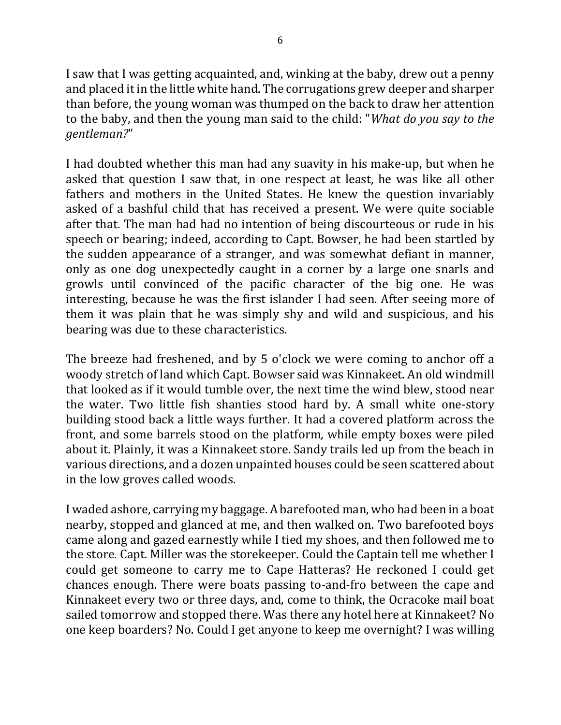I saw that I was getting acquainted, and, winking at the baby, drew out a penny and placed it in the little white hand. The corrugations grew deeper and sharper than before, the young woman was thumped on the back to draw her attention to the baby, and then the young man said to the child: "*What do you say to the gentleman?*"

I had doubted whether this man had any suavity in his make-up, but when he asked that question I saw that, in one respect at least, he was like all other fathers and mothers in the United States. He knew the question invariably asked of a bashful child that has received a present. We were quite sociable after that. The man had had no intention of being discourteous or rude in his speech or bearing; indeed, according to Capt. Bowser, he had been startled by the sudden appearance of a stranger, and was somewhat defiant in manner, only as one dog unexpectedly caught in a corner by a large one snarls and growls until convinced of the pacific character of the big one. He was interesting, because he was the first islander I had seen. After seeing more of them it was plain that he was simply shy and wild and suspicious, and his bearing was due to these characteristics.

The breeze had freshened, and by 5 o'clock we were coming to anchor off a woody stretch of land which Capt. Bowser said was Kinnakeet. An old windmill that looked as if it would tumble over, the next time the wind blew, stood near the water. Two little fish shanties stood hard by. A small white one-story building stood back a little ways further. It had a covered platform across the front, and some barrels stood on the platform, while empty boxes were piled about it. Plainly, it was a Kinnakeet store. Sandy trails led up from the beach in various directions, and a dozen unpainted houses could be seen scattered about in the low groves called woods.

I waded ashore, carrying my baggage. A barefooted man, who had been in a boat nearby, stopped and glanced at me, and then walked on. Two barefooted boys came along and gazed earnestly while I tied my shoes, and then followed me to the store. Capt. Miller was the storekeeper. Could the Captain tell me whether I could get someone to carry me to Cape Hatteras? He reckoned I could get chances enough. There were boats passing to-and-fro between the cape and Kinnakeet every two or three days, and, come to think, the Ocracoke mail boat sailed tomorrow and stopped there. Was there any hotel here at Kinnakeet? No one keep boarders? No. Could I get anyone to keep me overnight? I was willing